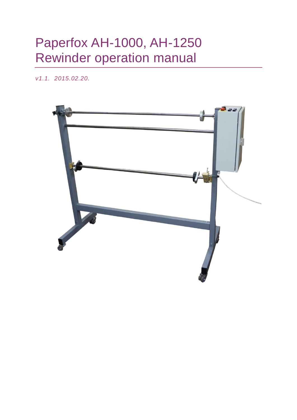## Paperfox AH-1000, AH-1250 Rewinder operation manual

*v1.1. 2015.02.20.*

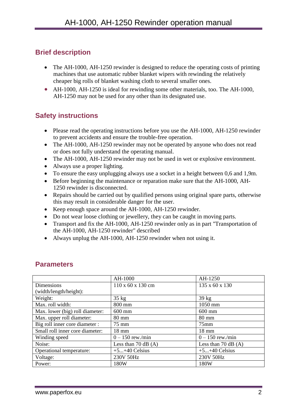#### **Brief description**

- The AH-1000, AH-1250 rewinder is designed to reduce the operating costs of printing machines that use automatic rubber blanket wipers with rewinding the relatively cheaper big rolls of blanket washing cloth to several smaller ones.
- AH-1000, AH-1250 is ideal for rewinding some other materials, too. The AH-1000, AH-1250 may not be used for any other than its designated use.

#### **Safety instructions**

- Please read the operating instructions before you use the AH-1000, AH-1250 rewinder to prevent accidents and ensure the trouble-free operation.
- The AH-1000, AH-1250 rewinder may not be operated by anyone who does not read or does not fully understand the operating manual.
- The AH-1000, AH-1250 rewinder may not be used in wet or explosive environment.
- Always use a proper lighting.
- To ensure the easy unplugging always use a socket in a height between 0,6 and 1,9m.
- Before beginning the maintenance or reparation make sure that the AH-1000, AH-1250 rewinder is disconnected.
- Repairs should be carried out by qualified persons using original spare parts, otherwise this may result in considerable danger for the user.
- Keep enough space around the AH-1000, AH-1250 rewinder.
- Do not wear loose clothing or jewellery, they can be caught in moving parts.
- Transport and fix the AH-1000, AH-1250 rewinder only as in part "Transportation of the AH-1000, AH-1250 rewinder" described
- Always unplug the AH-1000, AH-1250 rewinder when not using it.

|                                 | AH-1000                 | AH-1250                 |
|---------------------------------|-------------------------|-------------------------|
| Dimensions                      | 110 x 60 x 130 cm       | 135 x 60 x 130          |
| (width/length/height):          |                         |                         |
| Weight:                         | $35 \text{ kg}$         | $39 \text{ kg}$         |
| Max. roll width:                | 800 mm                  | 1050 mm                 |
| Max. lower (big) roll diameter: | $600$ mm                | $600$ mm                |
| Max. upper roll diameter:       | $80 \text{ mm}$         | 80 mm                   |
| Big roll inner core diameter :  | 75 mm                   | $75$ mm                 |
| Small roll inner core diameter: | $18 \text{ mm}$         | $18 \text{ mm}$         |
| Winding speed                   | $0 - 150$ rew./min      | $0 - 150$ rew./min      |
| Noise:                          | Less than $70$ dB $(A)$ | Less than $70$ dB $(A)$ |
| Operational temperature:        | $+5+40$ Celsius         | $+5+40$ Celsius         |
| Voltage:                        | 230V 50Hz               | 230V 50Hz               |
| Power:                          | 180W                    | 180W                    |

#### **Parameters**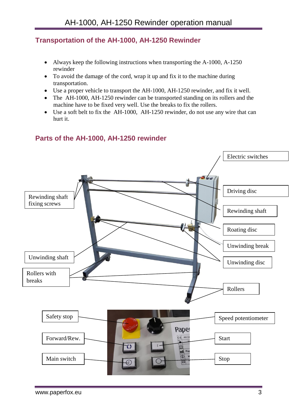#### **Transportation of the AH-1000, AH-1250 Rewinder**

- Always keep the following instructions when transporting the A-1000, A-1250 rewinder
- To avoid the damage of the cord, wrap it up and fix it to the machine during transportation.
- Use a proper vehicle to transport the AH-1000, AH-1250 rewinder, and fix it well.
- The AH-1000, AH-1250 rewinder can be transported standing on its rollers and the machine have to be fixed very well. Use the breaks to fix the rollers.
- Use a soft belt to fix the AH-1000, AH-1250 rewinder, do not use any wire that can hurt it.

#### **Parts of the AH-1000, AH-1250 rewinder**

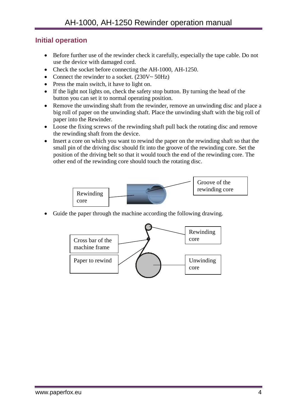#### **Initial operation**

- Before further use of the rewinder check it carefully, especially the tape cable. Do not use the device with damaged cord.
- Check the socket before connecting the AH-1000, AH-1250.
- Connect the rewinder to a socket.  $(230V \sim 50Hz)$
- Press the main switch, it have to light on.
- If the light not lights on, check the safety stop button. By turning the head of the button you can set it to normal operating position.
- Remove the unwinding shaft from the rewinder, remove an unwinding disc and place a big roll of paper on the unwinding shaft. Place the unwinding shaft with the big roll of paper into the Rewinder.
- Loose the fixing screws of the rewinding shaft pull back the rotating disc and remove the rewinding shaft from the device.
- Insert a core on which you want to rewind the paper on the rewinding shaft so that the small pin of the driving disc should fit into the groove of the rewinding core. Set the position of the driving belt so that it would touch the end of the rewinding core. The other end of the rewinding core should touch the rotating disc.



Guide the paper through the machine according the following drawing.

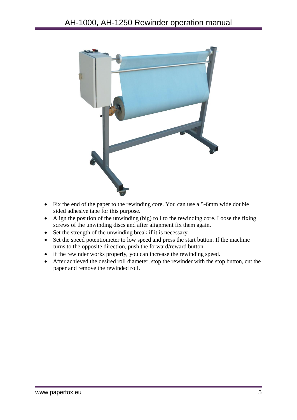

- Fix the end of the paper to the rewinding core. You can use a 5-6mm wide double sided adhesive tape for this purpose.
- Align the position of the unwinding (big) roll to the rewinding core. Loose the fixing screws of the unwinding discs and after alignment fix them again.
- Set the strength of the unwinding break if it is necessary.
- Set the speed potentiometer to low speed and press the start button. If the machine turns to the opposite direction, push the forward/reward button.
- If the rewinder works properly, you can increase the rewinding speed.
- After achieved the desired roll diameter, stop the rewinder with the stop button, cut the paper and remove the rewinded roll.